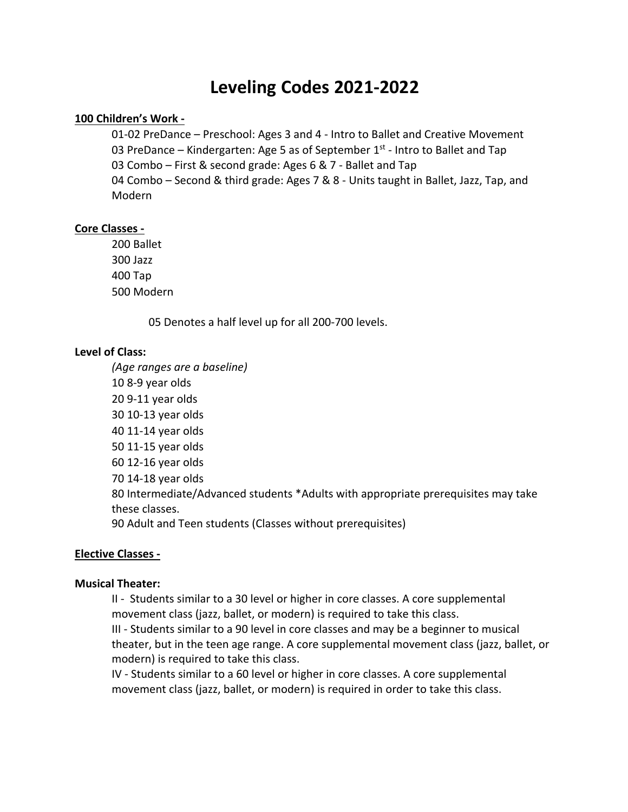# **Leveling Codes 2021-2022**

#### **100 Children's Work -**

01-02 PreDance – Preschool: Ages 3 and 4 - Intro to Ballet and Creative Movement 03 PreDance – Kindergarten: Age 5 as of September  $1<sup>st</sup>$  - Intro to Ballet and Tap 03 Combo – First & second grade: Ages 6 & 7 - Ballet and Tap 04 Combo – Second & third grade: Ages 7 & 8 - Units taught in Ballet, Jazz, Tap, and Modern

#### **Core Classes -**

200 Ballet 300 Jazz 400 Tap 500 Modern

05 Denotes a half level up for all 200-700 levels.

#### **Level of Class:**

*(Age ranges are a baseline)* 10 8-9 year olds 20 9-11 year olds 30 10-13 year olds 40 11-14 year olds 50 11-15 year olds 60 12-16 year olds 70 14-18 year olds 80 Intermediate/Advanced students \*Adults with appropriate prerequisites may take these classes. 90 Adult and Teen students (Classes without prerequisites)

#### **Elective Classes -**

#### **Musical Theater:**

II - Students similar to a 30 level or higher in core classes. A core supplemental movement class (jazz, ballet, or modern) is required to take this class. III - Students similar to a 90 level in core classes and may be a beginner to musical

theater, but in the teen age range. A core supplemental movement class (jazz, ballet, or modern) is required to take this class.

IV - Students similar to a 60 level or higher in core classes. A core supplemental movement class (jazz, ballet, or modern) is required in order to take this class.